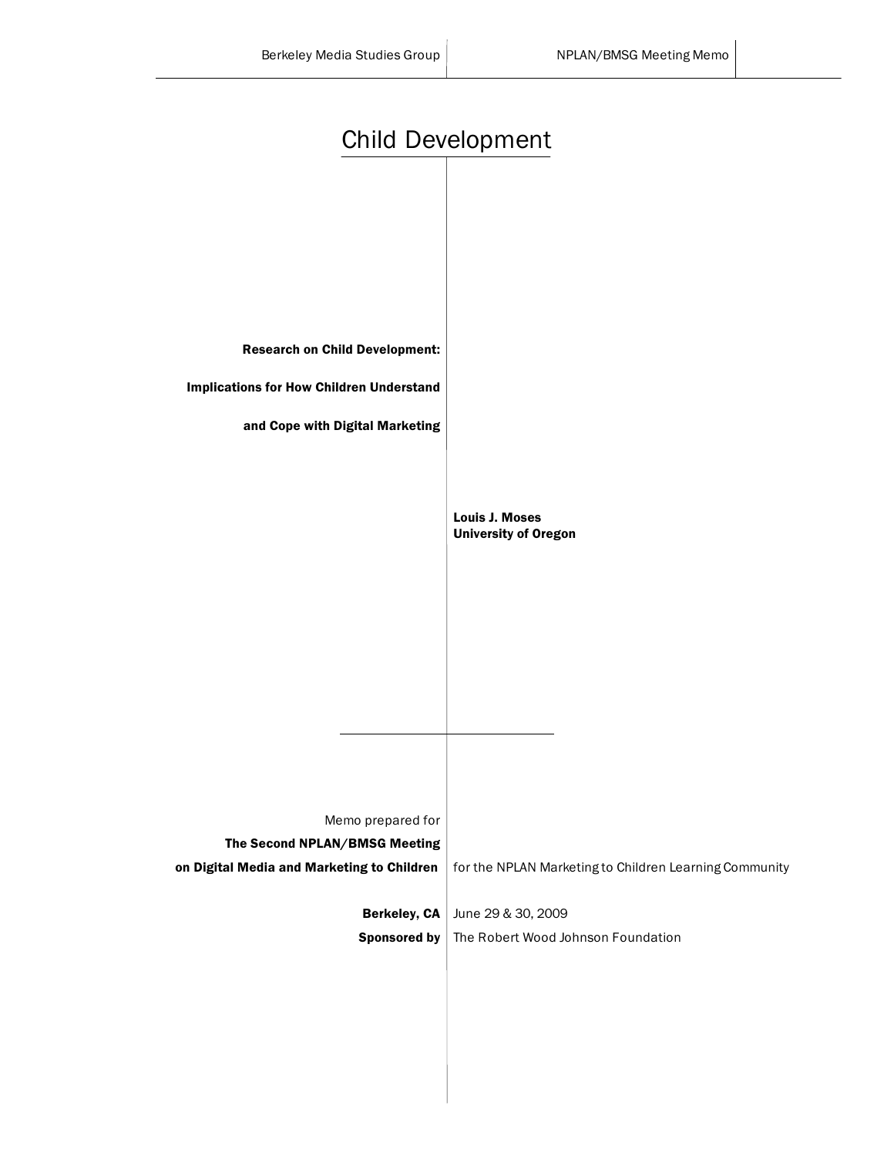| <b>Child Development</b>                           |                                                        |
|----------------------------------------------------|--------------------------------------------------------|
|                                                    |                                                        |
| <b>Research on Child Development:</b>              |                                                        |
| <b>Implications for How Children Understand</b>    |                                                        |
| and Cope with Digital Marketing                    |                                                        |
|                                                    |                                                        |
|                                                    | <b>Louis J. Moses</b><br><b>University of Oregon</b>   |
|                                                    |                                                        |
|                                                    |                                                        |
|                                                    |                                                        |
|                                                    |                                                        |
|                                                    |                                                        |
| Memo prepared for<br>The Second NPLAN/BMSG Meeting |                                                        |
| on Digital Media and Marketing to Children         | for the NPLAN Marketing to Children Learning Community |
| Berkeley, CA                                       | June 29 & 30, 2009                                     |
| <b>Sponsored by</b>                                | The Robert Wood Johnson Foundation                     |
|                                                    |                                                        |
|                                                    |                                                        |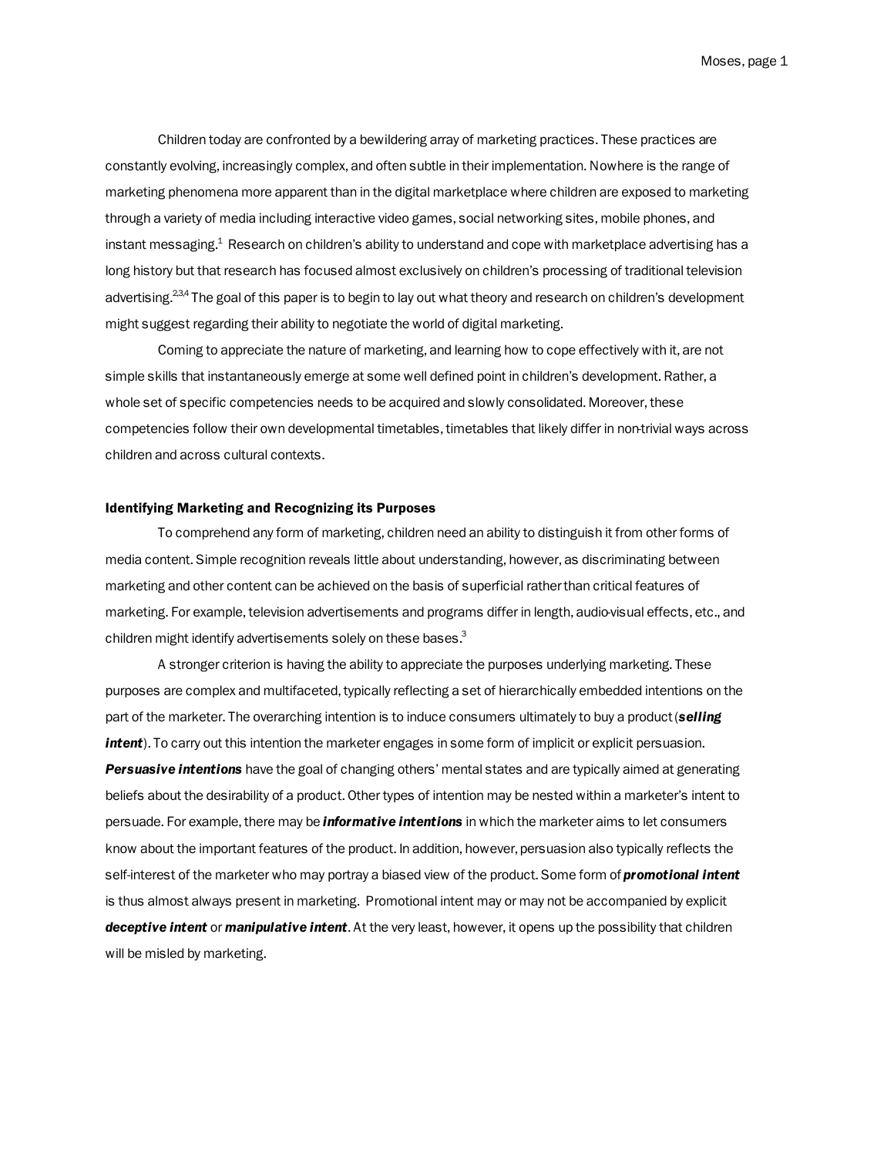Moses, page 1

Children today are confronted by a bewildering array of marketing practices. These practices are constantly evolving, increasingly complex, and often subtle in their implementation. Nowhere is the range of marketing phenomena more apparent than in the digital marketplace where children are exposed to marketing through a variety of media including interactive video games, social networking sites, mobile phones, and instant messaging. $^{\text{1}}$  Research on children's ability to understand and cope with marketplace advertising has a long history but that research has focused almost exclusively on children's processing of traditional television advertising.<sup>2,3,4</sup> The goal of this paper is to begin to lay out what theory and research on children's development might suggest regarding their ability to negotiate the world of digital marketing.

Coming to appreciate the nature of marketing, and learning how to cope effectively with it, are not simple skills that instantaneously emerge at some well defined point in children's development. Rather, a whole set of specific competencies needs to be acquired and slowly consolidated. Moreover, these competencies follow their own developmental timetables, timetables that likely differ in non-trivial ways across children and across cultural contexts.

## Identifying Marketing and Recognizing its Purposes

To comprehend any form of marketing, children need an ability to distinguish it from other forms of media content. Simple recognition reveals little about understanding, however, as discriminating between marketing and other content can be achieved on the basis of superficial rather than critical features of marketing. For example, television advertisements and programs differ in length, audio-visual effects, etc., and children might identify advertisements solely on these bases.<sup>3</sup>

A stronger criterion is having the ability to appreciate the purposes underlying marketing. These purposes are complex and multifaceted, typically reflecting a set of hierarchically embedded intentions on the part of the marketer. The overarching intention is to induce consumers ultimately to buy a product (*selling intent*). To carry out this intention the marketer engages in some form of implicit or explicit persuasion. *Persuasive intentions* have the goal of changing others' mental states and are typically aimed at generating beliefs about the desirability of a product. Other types of intention may be nested within a marketer's intent to persuade. For example, there may be *informative intentions* in which the marketer aims to let consumers know about the important features of the product. In addition, however, persuasion also typically reflects the self-interest of the marketer who may portray a biased view of the product. Some form of *promotional intent* is thus almost always present in marketing. Promotional intent may or may not be accompanied by explicit *deceptive intent* or *manipulative intent*. At the very least, however, it opens up the possibility that children will be misled by marketing.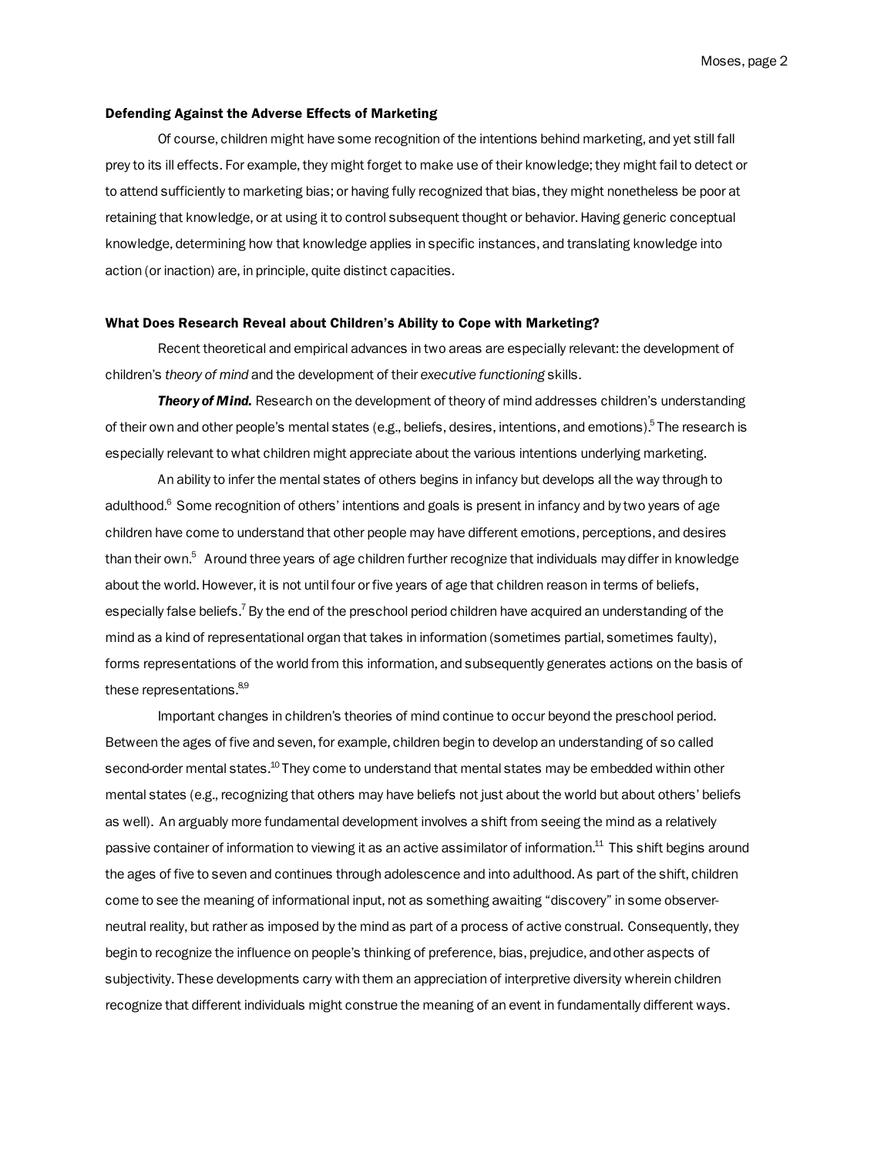#### Defending Against the Adverse Effects of Marketing

Of course, children might have some recognition of the intentions behind marketing, and yet still fall prey to its ill effects. For example, they might forget to make use of their knowledge; they might fail to detect or to attend sufficiently to marketing bias; or having fully recognized that bias, they might nonetheless be poor at retaining that knowledge, or at using it to control subsequent thought or behavior. Having generic conceptual knowledge, determining how that knowledge applies in specific instances, and translating knowledge into action (or inaction) are, in principle, quite distinct capacities.

#### What Does Research Reveal about Children's Ability to Cope with Marketing?

Recent theoretical and empirical advances in two areas are especially relevant: the development of children's *theory of mind* and the development of their *executive functioning* skills.

*Theory of Mind.* Research on the development of theory of mind addresses children's understanding of their own and other people's mental states (e.g., beliefs, desires, intentions, and emotions).<sup>5</sup> The research is especially relevant to what children might appreciate about the various intentions underlying marketing.

An ability to infer the mental states of others begins in infancy but develops all the way through to adulthood.<sup>6</sup> Some recognition of others' intentions and goals is present in infancy and by two years of age children have come to understand that other people may have different emotions, perceptions, and desires than their own.<sup>5</sup> Around three years of age children further recognize that individuals may differ in knowledge about the world. However, it is not until four or five years of age that children reason in terms of beliefs, especially false beliefs.<sup>7</sup> By the end of the preschool period children have acquired an understanding of the mind as a kind of representational organ that takes in information (sometimes partial, sometimes faulty), forms representations of the world from this information, and subsequently generates actions on the basis of these representations.<sup>8,9</sup>

Important changes in children's theories of mind continue to occur beyond the preschool period. Between the ages of five and seven, for example, children begin to develop an understanding of so called second-order mental states.<sup>10</sup> They come to understand that mental states may be embedded within other mental states (e.g., recognizing that others may have beliefs not just about the world but about others' beliefs as well). An arguably more fundamental development involves a shift from seeing the mind as a relatively passive container of information to viewing it as an active assimilator of information.<sup>11</sup> This shift begins around the ages of five to seven and continues through adolescence and into adulthood. As part of the shift, children come to see the meaning of informational input, not as something awaiting "discovery" in some observerneutral reality, but rather as imposed by the mind as part of a process of active construal. Consequently, they begin to recognize the influence on people's thinking of preference, bias, prejudice, and other aspects of subjectivity. These developments carry with them an appreciation of interpretive diversity wherein children recognize that different individuals might construe the meaning of an event in fundamentally different ways.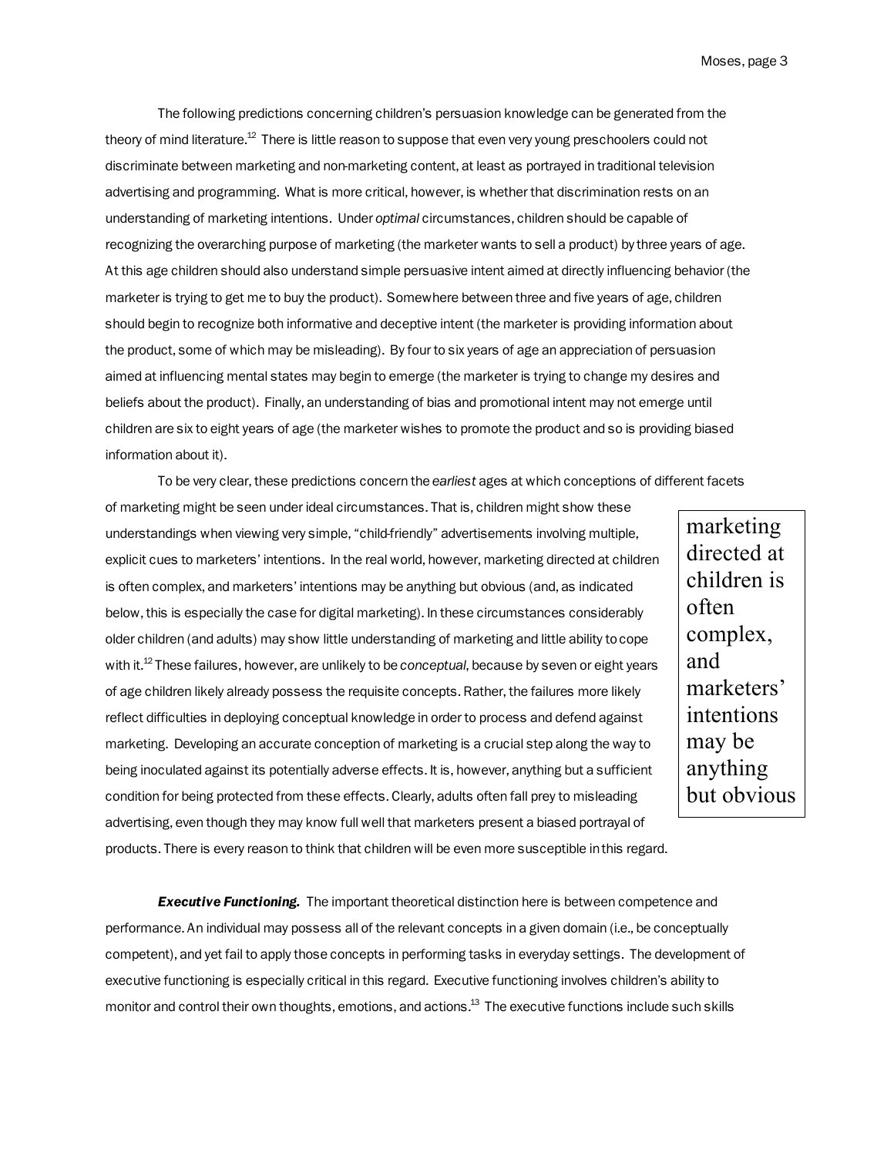The following predictions concerning children's persuasion knowledge can be generated from the theory of mind literature.<sup>12</sup> There is little reason to suppose that even very young preschoolers could not discriminate between marketing and non-marketing content, at least as portrayed in traditional television advertising and programming. What is more critical, however, is whether that discrimination rests on an understanding of marketing intentions. Under *optimal* circumstances, children should be capable of recognizing the overarching purpose of marketing (the marketer wants to sell a product) by three years of age. At this age children should also understand simple persuasive intent aimed at directly influencing behavior (the marketer is trying to get me to buy the product). Somewhere between three and five years of age, children should begin to recognize both informative and deceptive intent (the marketer is providing information about the product, some of which may be misleading). By four to six years of age an appreciation of persuasion aimed at influencing mental states may begin to emerge (the marketer is trying to change my desires and beliefs about the product). Finally, an understanding of bias and promotional intent may not emerge until children are six to eight years of age (the marketer wishes to promote the product and so is providing biased information about it).

To be very clear, these predictions concern the *earliest* ages at which conceptions of different facets

of marketing might be seen under ideal circumstances. That is, children might show these understandings when viewing very simple, "child-friendly" advertisements involving multiple, explicit cues to marketers' intentions. In the real world, however, marketing directed at children is often complex, and marketers' intentions may be anything but obvious (and, as indicated below, this is especially the case for digital marketing). In these circumstances considerably older children (and adults) may show little understanding of marketing and little ability to cope with it.12 These failures, however, are unlikely to be *conceptual*, because by seven or eight years of age children likely already possess the requisite concepts. Rather, the failures more likely reflect difficulties in deploying conceptual knowledge in order to process and defend against marketing. Developing an accurate conception of marketing is a crucial step along the way to being inoculated against its potentially adverse effects. It is, however, anything but a sufficient condition for being protected from these effects. Clearly, adults often fall prey to misleading advertising, even though they may know full well that marketers present a biased portrayal of

products. There is every reason to think that children will be even more susceptible in this regard.

**Executive Functioning.** The important theoretical distinction here is between competence and performance. An individual may possess all of the relevant concepts in a given domain (i.e., be conceptually competent), and yet fail to apply those concepts in performing tasks in everyday settings. The development of executive functioning is especially critical in this regard. Executive functioning involves children's ability to monitor and control their own thoughts, emotions, and actions.13 The executive functions include such skills

marketing directed at children is often complex, and marketers' intentions may be anything but obvious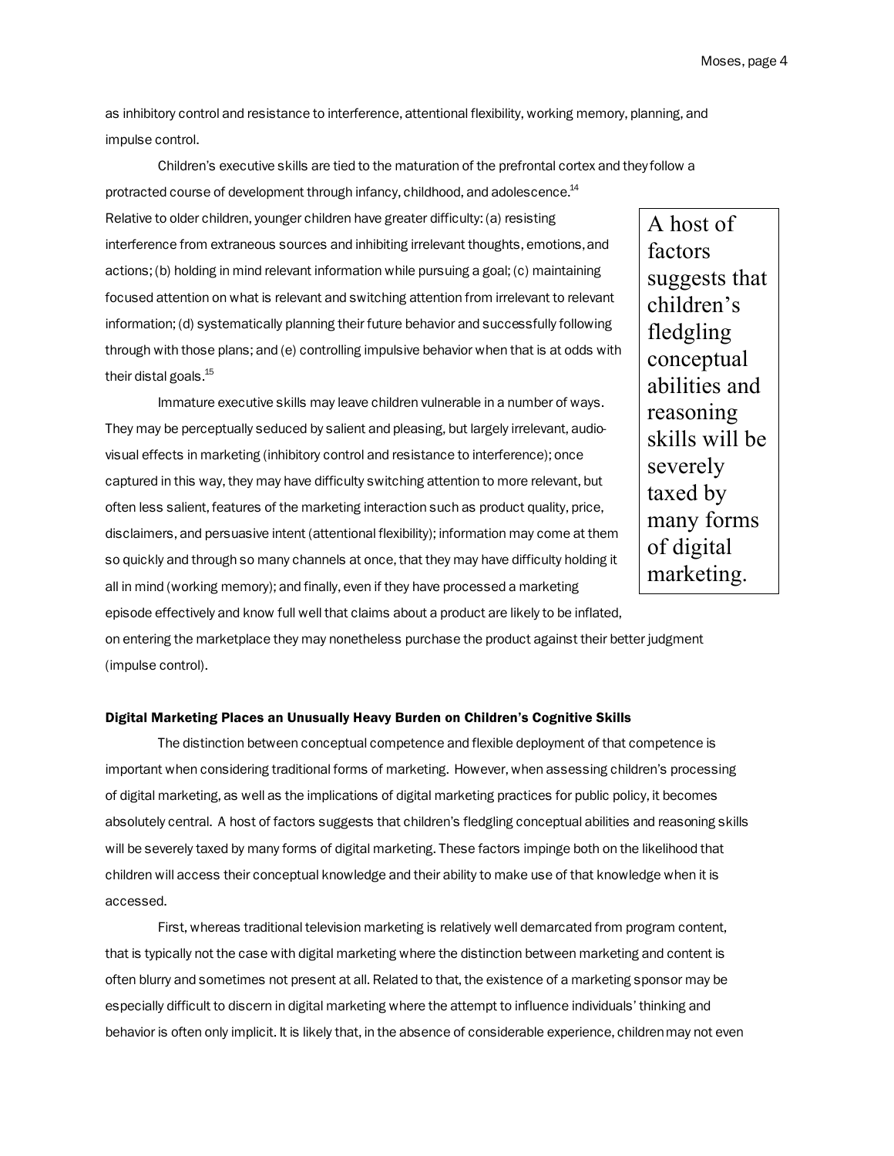as inhibitory control and resistance to interference, attentional flexibility, working memory, planning, and impulse control.

Children's executive skills are tied to the maturation of the prefrontal cortex and they follow a protracted course of development through infancy, childhood, and adolescence.<sup>14</sup>

Relative to older children, younger children have greater difficulty: (a) resisting interference from extraneous sources and inhibiting irrelevant thoughts, emotions, and actions; (b) holding in mind relevant information while pursuing a goal; (c) maintaining focused attention on what is relevant and switching attention from irrelevant to relevant information; (d) systematically planning their future behavior and successfully following through with those plans; and (e) controlling impulsive behavior when that is at odds with their distal goals.<sup>15</sup>

Immature executive skills may leave children vulnerable in a number of ways. They may be perceptually seduced by salient and pleasing, but largely irrelevant, audiovisual effects in marketing (inhibitory control and resistance to interference); once captured in this way, they may have difficulty switching attention to more relevant, but often less salient, features of the marketing interaction such as product quality, price, disclaimers, and persuasive intent (attentional flexibility); information may come at them so quickly and through so many channels at once, that they may have difficulty holding it all in mind (working memory); and finally, even if they have processed a marketing

episode effectively and know full well that claims about a product are likely to be inflated, on entering the marketplace they may nonetheless purchase the product against their better judgment (impulse control).

### Digital Marketing Places an Unusually Heavy Burden on Children's Cognitive Skills

The distinction between conceptual competence and flexible deployment of that competence is important when considering traditional forms of marketing. However, when assessing children's processing of digital marketing, as well as the implications of digital marketing practices for public policy, it becomes absolutely central. A host of factors suggests that children's fledgling conceptual abilities and reasoning skills will be severely taxed by many forms of digital marketing. These factors impinge both on the likelihood that children will access their conceptual knowledge and their ability to make use of that knowledge when it is accessed.

First, whereas traditional television marketing is relatively well demarcated from program content, that is typically not the case with digital marketing where the distinction between marketing and content is often blurry and sometimes not present at all. Related to that, the existence of a marketing sponsor may be especially difficult to discern in digital marketing where the attempt to influence individuals' thinking and behavior is often only implicit. It is likely that, in the absence of considerable experience, children may not even

A host of factors suggests that children's fledgling conceptual abilities and reasoning skills will be severely taxed by many forms of digital marketing.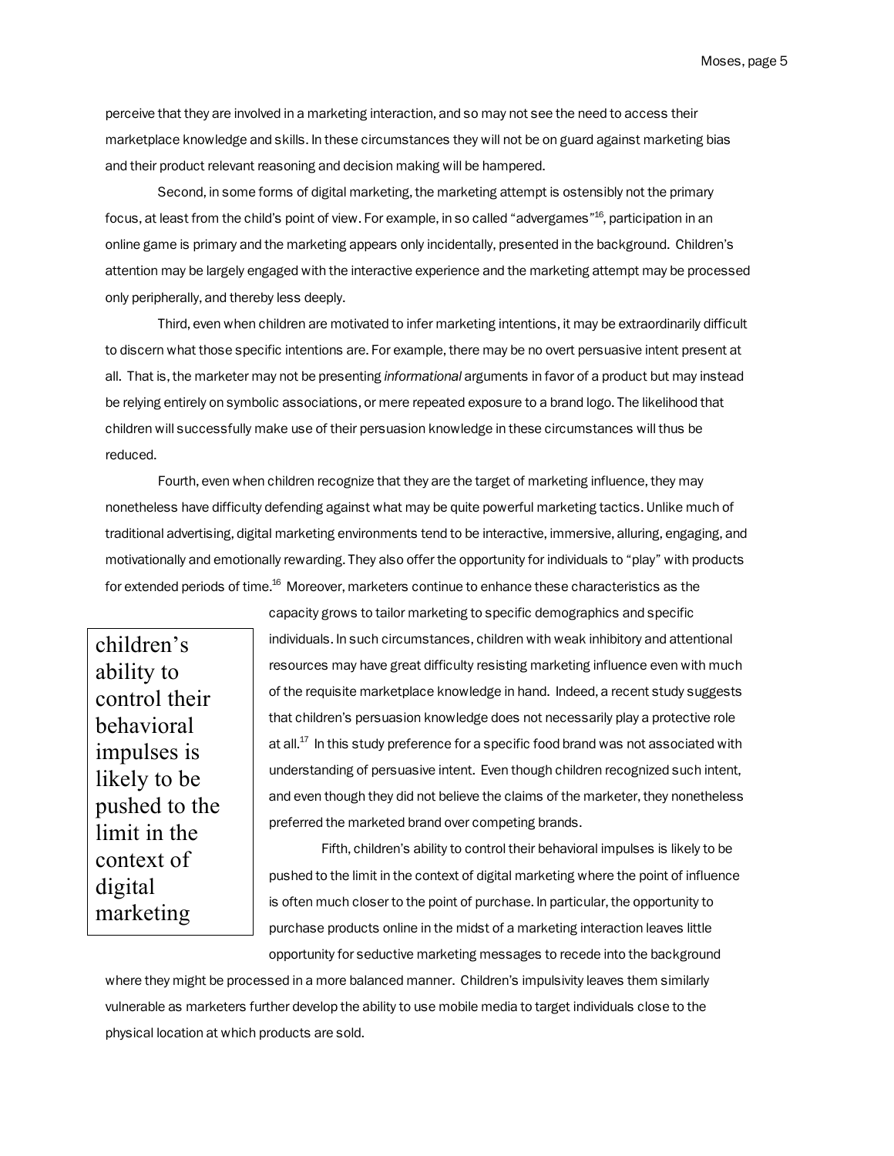Moses, page 5

perceive that they are involved in a marketing interaction, and so may not see the need to access their marketplace knowledge and skills. In these circumstances they will not be on guard against marketing bias and their product relevant reasoning and decision making will be hampered.

Second, in some forms of digital marketing, the marketing attempt is ostensibly not the primary focus, at least from the child's point of view. For example, in so called "advergames"<sup>16</sup>, participation in an online game is primary and the marketing appears only incidentally, presented in the background. Children's attention may be largely engaged with the interactive experience and the marketing attempt may be processed only peripherally, and thereby less deeply.

Third, even when children are motivated to infer marketing intentions, it may be extraordinarily difficult to discern what those specific intentions are. For example, there may be no overt persuasive intent present at all. That is, the marketer may not be presenting *informational* arguments in favor of a product but may instead be relying entirely on symbolic associations, or mere repeated exposure to a brand logo. The likelihood that children will successfully make use of their persuasion knowledge in these circumstances will thus be reduced.

Fourth, even when children recognize that they are the target of marketing influence, they may nonetheless have difficulty defending against what may be quite powerful marketing tactics. Unlike much of traditional advertising, digital marketing environments tend to be interactive, immersive, alluring, engaging, and motivationally and emotionally rewarding. They also offer the opportunity for individuals to "play" with products for extended periods of time.<sup>16</sup> Moreover, marketers continue to enhance these characteristics as the

children's ability to control their behavioral impulses is likely to be pushed to the limit in the context of digital marketing

individuals. In such circumstances, children with weak inhibitory and attentional resources may have great difficulty resisting marketing influence even with much of the requisite marketplace knowledge in hand. Indeed, a recent study suggests that children's persuasion knowledge does not necessarily play a protective role at all. $^{17}$  In this study preference for a specific food brand was not associated with understanding of persuasive intent. Even though children recognized such intent, and even though they did not believe the claims of the marketer, they nonetheless preferred the marketed brand over competing brands.

capacity grows to tailor marketing to specific demographics and specific

Fifth, children's ability to control their behavioral impulses is likely to be pushed to the limit in the context of digital marketing where the point of influence is often much closer to the point of purchase. In particular, the opportunity to purchase products online in the midst of a marketing interaction leaves little opportunity for seductive marketing messages to recede into the background

where they might be processed in a more balanced manner. Children's impulsivity leaves them similarly vulnerable as marketers further develop the ability to use mobile media to target individuals close to the physical location at which products are sold.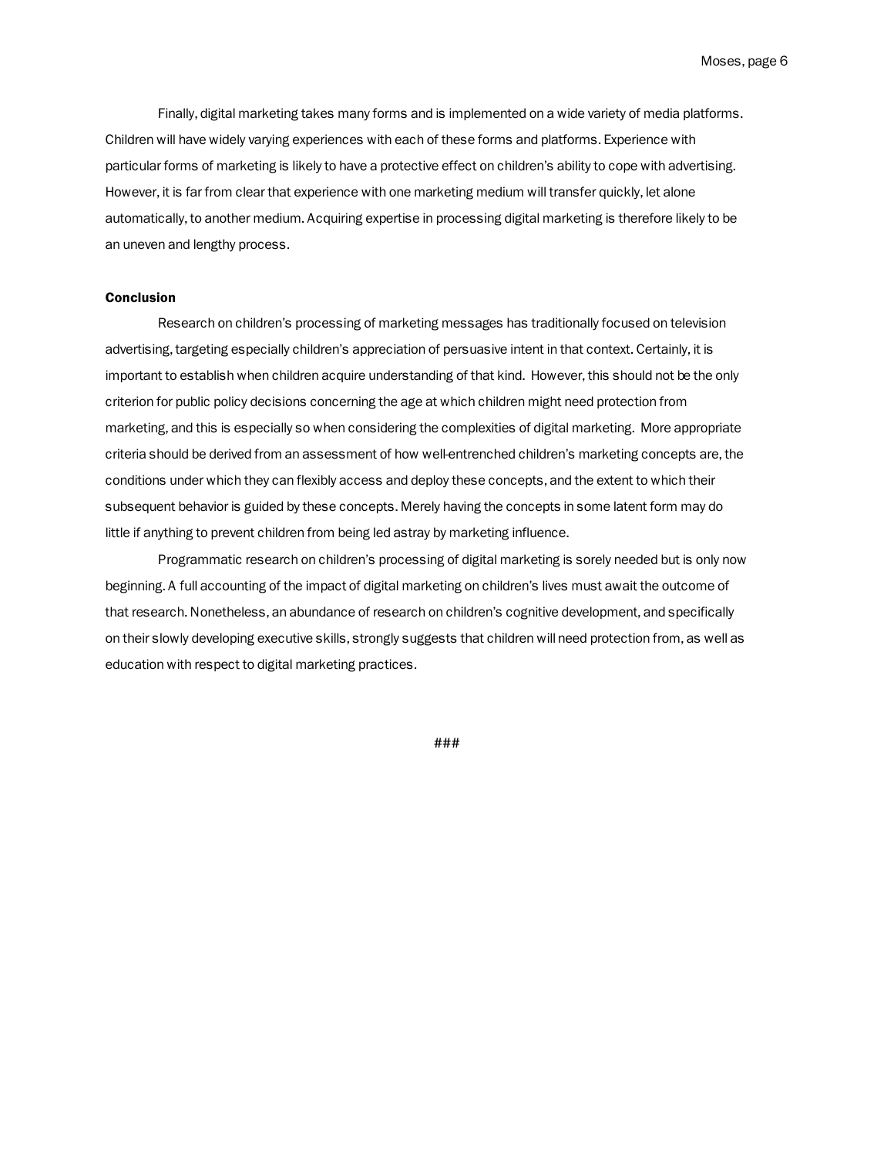Finally, digital marketing takes many forms and is implemented on a wide variety of media platforms. Children will have widely varying experiences with each of these forms and platforms. Experience with particular forms of marketing is likely to have a protective effect on children's ability to cope with advertising. However, it is far from clear that experience with one marketing medium will transfer quickly, let alone automatically, to another medium. Acquiring expertise in processing digital marketing is therefore likely to be an uneven and lengthy process.

## **Conclusion**

Research on children's processing of marketing messages has traditionally focused on television advertising, targeting especially children's appreciation of persuasive intent in that context. Certainly, it is important to establish when children acquire understanding of that kind. However, this should not be the only criterion for public policy decisions concerning the age at which children might need protection from marketing, and this is especially so when considering the complexities of digital marketing. More appropriate criteria should be derived from an assessment of how well-entrenched children's marketing concepts are, the conditions under which they can flexibly access and deploy these concepts, and the extent to which their subsequent behavior is guided by these concepts. Merely having the concepts in some latent form may do little if anything to prevent children from being led astray by marketing influence.

Programmatic research on children's processing of digital marketing is sorely needed but is only now beginning. A full accounting of the impact of digital marketing on children's lives must await the outcome of that research. Nonetheless, an abundance of research on children's cognitive development, and specifically on their slowly developing executive skills, strongly suggests that children will need protection from, as well as education with respect to digital marketing practices.

###